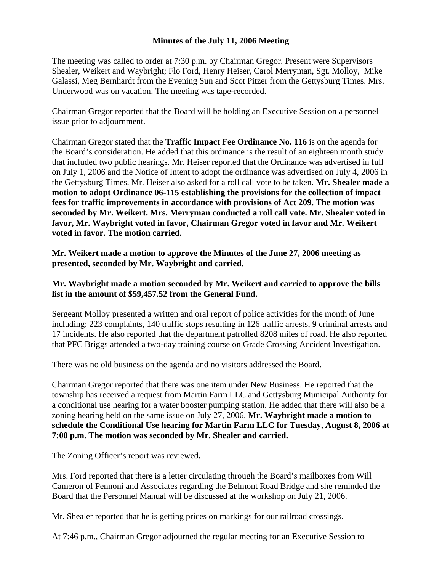## **Minutes of the July 11, 2006 Meeting**

The meeting was called to order at 7:30 p.m. by Chairman Gregor. Present were Supervisors Shealer, Weikert and Waybright; Flo Ford, Henry Heiser, Carol Merryman, Sgt. Molloy, Mike Galassi, Meg Bernhardt from the Evening Sun and Scot Pitzer from the Gettysburg Times. Mrs. Underwood was on vacation. The meeting was tape-recorded.

Chairman Gregor reported that the Board will be holding an Executive Session on a personnel issue prior to adjournment.

Chairman Gregor stated that the **Traffic Impact Fee Ordinance No. 116** is on the agenda for the Board's consideration. He added that this ordinance is the result of an eighteen month study that included two public hearings. Mr. Heiser reported that the Ordinance was advertised in full on July 1, 2006 and the Notice of Intent to adopt the ordinance was advertised on July 4, 2006 in the Gettysburg Times. Mr. Heiser also asked for a roll call vote to be taken. **Mr. Shealer made a motion to adopt Ordinance 06-115 establishing the provisions for the collection of impact fees for traffic improvements in accordance with provisions of Act 209. The motion was seconded by Mr. Weikert. Mrs. Merryman conducted a roll call vote. Mr. Shealer voted in favor, Mr. Waybright voted in favor, Chairman Gregor voted in favor and Mr. Weikert voted in favor. The motion carried.** 

**Mr. Weikert made a motion to approve the Minutes of the June 27, 2006 meeting as presented, seconded by Mr. Waybright and carried.** 

## **Mr. Waybright made a motion seconded by Mr. Weikert and carried to approve the bills list in the amount of \$59,457.52 from the General Fund.**

Sergeant Molloy presented a written and oral report of police activities for the month of June including: 223 complaints, 140 traffic stops resulting in 126 traffic arrests, 9 criminal arrests and 17 incidents. He also reported that the department patrolled 8208 miles of road. He also reported that PFC Briggs attended a two-day training course on Grade Crossing Accident Investigation.

There was no old business on the agenda and no visitors addressed the Board.

Chairman Gregor reported that there was one item under New Business. He reported that the township has received a request from Martin Farm LLC and Gettysburg Municipal Authority for a conditional use hearing for a water booster pumping station. He added that there will also be a zoning hearing held on the same issue on July 27, 2006. **Mr. Waybright made a motion to schedule the Conditional Use hearing for Martin Farm LLC for Tuesday, August 8, 2006 at 7:00 p.m. The motion was seconded by Mr. Shealer and carried.** 

The Zoning Officer's report was reviewed**.** 

Mrs. Ford reported that there is a letter circulating through the Board's mailboxes from Will Cameron of Pennoni and Associates regarding the Belmont Road Bridge and she reminded the Board that the Personnel Manual will be discussed at the workshop on July 21, 2006.

Mr. Shealer reported that he is getting prices on markings for our railroad crossings.

At 7:46 p.m., Chairman Gregor adjourned the regular meeting for an Executive Session to